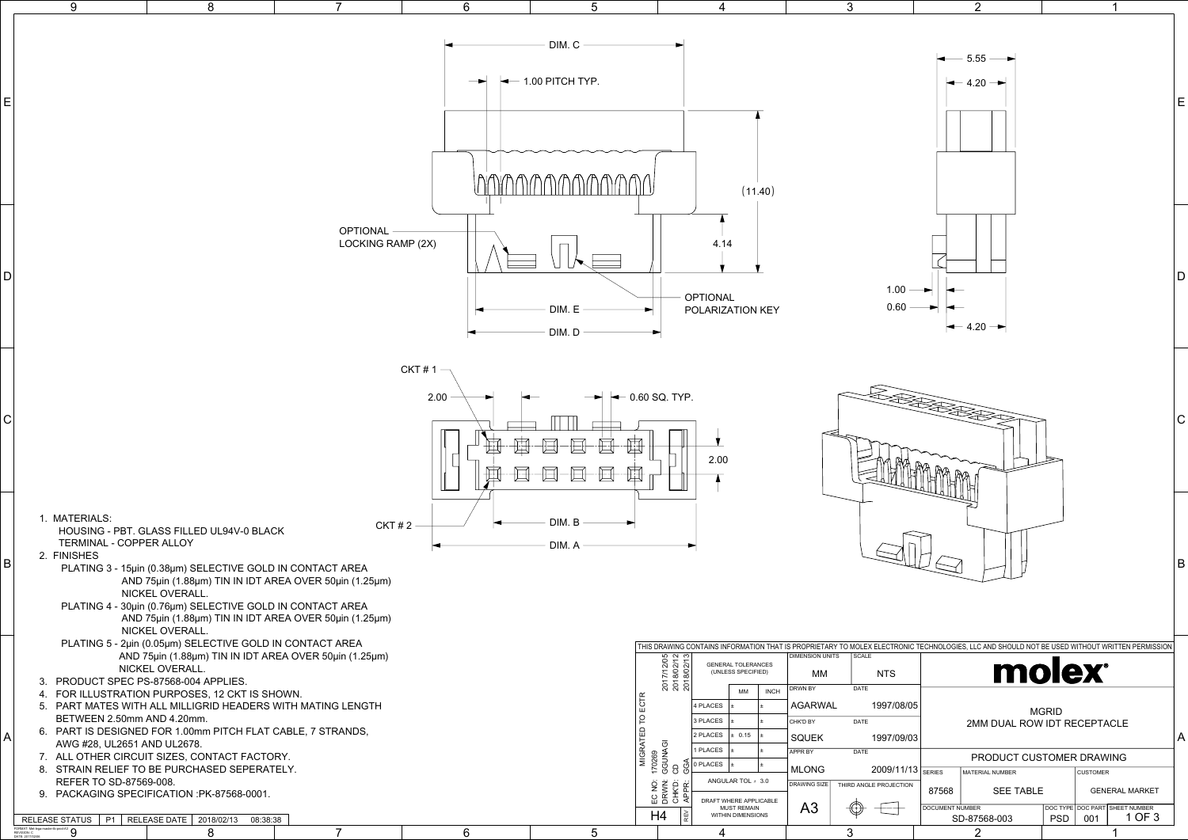|                      |                                                                                                                                   | $\mathbf{2}$                                                                           |            | 1                                                                                           |   |
|----------------------|-----------------------------------------------------------------------------------------------------------------------------------|----------------------------------------------------------------------------------------|------------|---------------------------------------------------------------------------------------------|---|
|                      |                                                                                                                                   | 5.55<br>$4.20 \cdot$                                                                   |            |                                                                                             | Ε |
| 0<br>G               |                                                                                                                                   | $-4.20 -$                                                                              |            |                                                                                             | D |
|                      |                                                                                                                                   |                                                                                        |            |                                                                                             | С |
|                      |                                                                                                                                   |                                                                                        |            |                                                                                             | B |
| 8/05<br>9/03         | ONIC TECHNOLOGIES, LLC AND SHOULD NOT BE USED WITHOUT WRITTEN PERMISSION<br>molex®<br><b>MGRID</b><br>2MM DUAL ROW IDT RECEPTACLE |                                                                                        |            |                                                                                             |   |
| 1/13<br><b>NOIT:</b> | <b>SERIES</b><br>87568<br><b>DOCUMENT NUMBER</b>                                                                                  | PRODUCT CUSTOMER DRAWING<br><b>MATERIAL NUMBER</b><br><b>SEE TABLE</b><br>SD-87568-003 | <b>PSD</b> | <b>CUSTOMER</b><br><b>GENERAL MARKET</b><br>DOC TYPE DOC PART SHEET NUMBER<br>1 OF 3<br>001 |   |
|                      |                                                                                                                                   | $\overline{2}$                                                                         |            | 1                                                                                           |   |

FORMAT: Met-lega-master-tb-prod-A3 REVISION: C DATE: 2017/02/06 9



3

4

5

6

7

8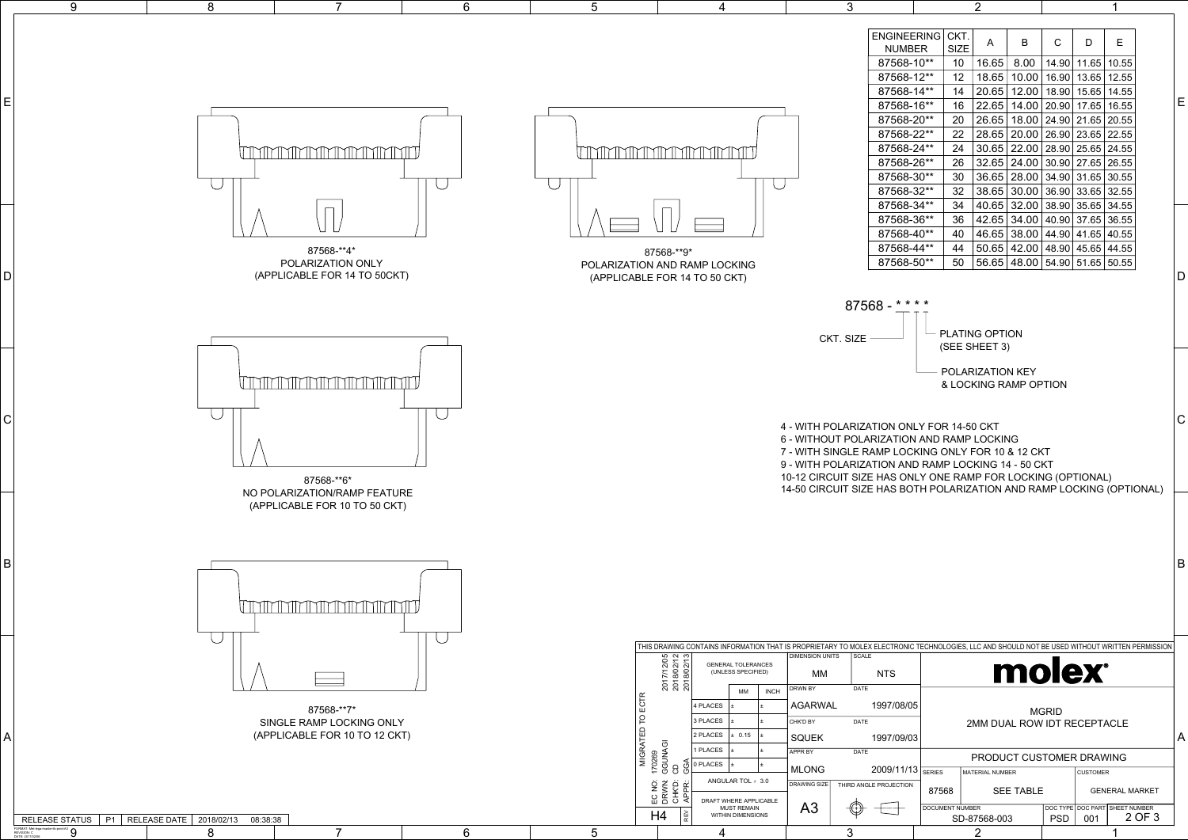| 9                                                                     |                | 8                          |                                                                                                                | 6 | 5                                       |                                                                                                                                                                                                                  | 3                                                                                                                                                                                                              | 2                                                                                                                                                                                                                                                                                                            |                                                                                                                                                                                                                                                                                                                                                                                                                                                                                  |                       |  |
|-----------------------------------------------------------------------|----------------|----------------------------|----------------------------------------------------------------------------------------------------------------|---|-----------------------------------------|------------------------------------------------------------------------------------------------------------------------------------------------------------------------------------------------------------------|----------------------------------------------------------------------------------------------------------------------------------------------------------------------------------------------------------------|--------------------------------------------------------------------------------------------------------------------------------------------------------------------------------------------------------------------------------------------------------------------------------------------------------------|----------------------------------------------------------------------------------------------------------------------------------------------------------------------------------------------------------------------------------------------------------------------------------------------------------------------------------------------------------------------------------------------------------------------------------------------------------------------------------|-----------------------|--|
| Е<br>D                                                                |                |                            | <b><i>ITTYITYYTYYTYYTYYTYYTYYTYYTYY</i></b><br>87568-**4*<br>POLARIZATION ONLY<br>(APPLICABLE FOR 14 TO 50CKT) |   |                                         | UTAMAN MARKA TARAFAN TA<br>87568-**9*<br>POLARIZATION AND RAMP LOCKING<br>(APPLICABLE FOR 14 TO 50 CKT)                                                                                                          | 87568-10**<br>87568-12**<br>87568-14**<br>87568-16**<br>87568-20**<br>87568-22**<br>87568-24**<br>87568-26**<br>87568-30**<br>87568-32**<br>87568-34**<br>87568-36**<br>87568-40**<br>87568-44**<br>87568-50** | ENGINEERING CKT.<br>B<br>A<br><b>NUMBER</b><br>SIZE<br>10<br>12<br>14<br>16 22.65 14.00 20.90 17.65 16.55<br>20<br>22<br>24<br>26<br>30<br>32<br>34<br>36<br>40<br>44<br>50 56.65 48.00 54.90 51.65 50.55                                                                                                    | C<br>D<br>16.65 8.00 14.90 11.65 10.55<br>18.65   10.00   16.90   13.65   12.55<br>  20.65   12.00   18.90   15.65   14.55  <br>26.65 18.00 24.90 21.65 20.55<br>28.65 20.00 26.90 23.65 22.55<br>30.65 22.00 28.90 25.65 24.55<br>32.65 24.00 30.90 27.65 26.55<br>36.65 28.00 34.90 31.65 30.55<br>38.65 30.00 36.90 33.65 32.55<br>40.65 32.00 38.90 35.65 34.55<br>  42.65   34.00   40.90   37.65   36.55<br>46.65 38.00 44.90 41.65 40.55<br>50.65 42.00 48.90 45.65 44.55 | E.                    |  |
|                                                                       |                |                            |                                                                                                                |   |                                         |                                                                                                                                                                                                                  | $87568 -$ ****                                                                                                                                                                                                 |                                                                                                                                                                                                                                                                                                              |                                                                                                                                                                                                                                                                                                                                                                                                                                                                                  |                       |  |
|                                                                       |                |                            |                                                                                                                |   |                                         |                                                                                                                                                                                                                  | CKT. SIZE                                                                                                                                                                                                      | - PLATING OPTION                                                                                                                                                                                                                                                                                             |                                                                                                                                                                                                                                                                                                                                                                                                                                                                                  |                       |  |
| $\mathsf C$                                                           |                |                            | TIMINININININININININININI<br>87568-**6*<br>NO POLARIZATION/RAMP FEATURE<br>(APPLICABLE FOR 10 TO 50 CKT)      |   |                                         |                                                                                                                                                                                                                  | 4 - WITH POLARIZATION ONLY FOR 14-50 CKT<br>6 - WITHOUT POLARIZATION AND RAMP LOCKING                                                                                                                          | (SEE SHEET 3)<br>POLARIZATION KEY<br>& LOCKING RAMP OPTION<br>7 - WITH SINGLE RAMP LOCKING ONLY FOR 10 & 12 CKT<br>9 - WITH POLARIZATION AND RAMP LOCKING 14 - 50 CKT<br>10-12 CIRCUIT SIZE HAS ONLY ONE RAMP FOR LOCKING (OPTIONAL)<br>14-50 CIRCUIT SIZE HAS BOTH POLARIZATION AND RAMP LOCKING (OPTIONAL) |                                                                                                                                                                                                                                                                                                                                                                                                                                                                                  |                       |  |
| B                                                                     |                |                            | 11MMI<br>r II 1111                                                                                             |   |                                         |                                                                                                                                                                                                                  |                                                                                                                                                                                                                |                                                                                                                                                                                                                                                                                                              |                                                                                                                                                                                                                                                                                                                                                                                                                                                                                  |                       |  |
|                                                                       |                |                            |                                                                                                                |   |                                         | THIS DRAWING CONTAINS INFORMATION THAT IS PROPRIETARY TO MOLEX ELECTRONIC TECHNOLOGIES, LLC AND SHOULD NOT BE USED WITHOUT WRITTEN PERMISSION<br><b>GENERAL TOLERANCES</b>                                       | DIMENSION UNITS<br><b>SCALE</b>                                                                                                                                                                                |                                                                                                                                                                                                                                                                                                              |                                                                                                                                                                                                                                                                                                                                                                                                                                                                                  |                       |  |
|                                                                       |                |                            |                                                                                                                |   |                                         | 2017/12/05<br>2018/02/12<br>2018/02/13<br>(UNLESS SPECIFIED)                                                                                                                                                     | МM<br><b>NTS</b><br>DATE<br>DRWN BY                                                                                                                                                                            |                                                                                                                                                                                                                                                                                                              | <b>molex</b>                                                                                                                                                                                                                                                                                                                                                                                                                                                                     |                       |  |
| A                                                                     |                |                            | 87568-**7*<br>SINGLE RAMP LOCKING ONLY<br>(APPLICABLE FOR 10 TO 12 CKT)                                        |   | $\propto$<br>ECT<br>$\circ$<br>$\Omega$ | MM<br><b>INCH</b><br>4 PLACES<br>3 PLACES<br>2 PLACES<br>0.15<br>MIGRATEL<br>170269<br>GGUNAGI<br>CD<br>1 PLACES<br>0 PLACES<br>ANGULAR TOL ± 3.0<br>EC NO:<br>DRWN:<br>DRWD:<br>ABBB:<br>DRAFT WHERE APPLICABLE | <b>AGARWAL</b><br>1997/08/05<br>DATE<br>CHK'D BY<br>1997/09/03<br><b>SQUEK</b><br>DATE<br>APPR BY<br><b>MLONG</b><br>DRAWING SIZE<br>THIRD ANGLE PROJECTION                                                    | 2009/11/13<br><b>MATERIAL NUMBER</b><br><b>SEE TABLE</b><br>87568                                                                                                                                                                                                                                            | <b>MGRID</b><br>2MM DUAL ROW IDT RECEPTACLE<br>PRODUCT CUSTOMER DRAWING<br><b>CUSTOMER</b>                                                                                                                                                                                                                                                                                                                                                                                       | <b>GENERAL MARKET</b> |  |
| RELEASE STATUS                                                        | P <sub>1</sub> | 2018/02/13<br>RELEASE DATE | 08:38:38                                                                                                       |   |                                         | <b>MUST REMAIN</b><br>H4<br>WITHIN DIMENSIONS                                                                                                                                                                    | A <sub>3</sub><br>₩                                                                                                                                                                                            | <b>DOCUMENT NUMBER</b><br>SD-87568-003                                                                                                                                                                                                                                                                       | DOC TYPE DOC PART SHEET NUMBER<br>PSD<br>001                                                                                                                                                                                                                                                                                                                                                                                                                                     | 2 OF 3                |  |
| FORMAT: Met-lega-master-tb-prod-A3<br>REVISION: C<br>DATE: 2017/02/06 |                | 8                          |                                                                                                                | 6 | $5\overline{)}$                         |                                                                                                                                                                                                                  | 3                                                                                                                                                                                                              | $\overline{2}$                                                                                                                                                                                                                                                                                               |                                                                                                                                                                                                                                                                                                                                                                                                                                                                                  |                       |  |



|              | ONIC TECHNOLOGIES, LLC AND SHOULD NOT BE USED WITHOUT WRITTEN PERMISSION: |                  |                          |                        |  |  |  |  |
|--------------|---------------------------------------------------------------------------|------------------|--------------------------|------------------------|--|--|--|--|
|              | <b>molex</b>                                                              |                  |                          |                        |  |  |  |  |
| 08/05        | <b>MGRID</b><br>2MM DUAL ROW IDT RECEPTACLE                               |                  |                          |                        |  |  |  |  |
| )9/03        |                                                                           |                  |                          |                        |  |  |  |  |
|              | PRODUCT CUSTOMER DRAWING                                                  |                  |                          |                        |  |  |  |  |
| 11/13        | <b>SERIES</b>                                                             | MATERIAL NUMBER  | <b>CUSTOMER</b>          |                        |  |  |  |  |
| <b>CTION</b> | 87568                                                                     | <b>SEE TABLE</b> | <b>GENERAL MARKET</b>    |                        |  |  |  |  |
|              | <b>DOCUMENT NUMBER</b><br>SD-87568-003                                    | PSD              | DOC TYPE DOC PART<br>001 | SHEET NUMBER<br>2 OF 3 |  |  |  |  |